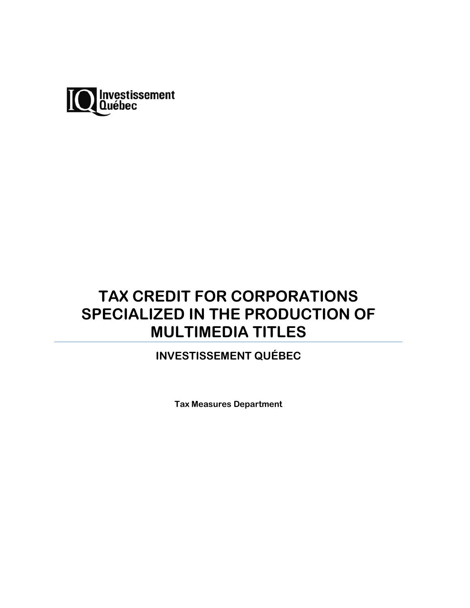

# **TAX CREDIT FOR CORPORATIONS SPECIALIZED IN THE PRODUCTION OF MULTIMEDIA TITLES**

# **INVESTISSEMENT QUÉBEC**

**Tax Measures Department**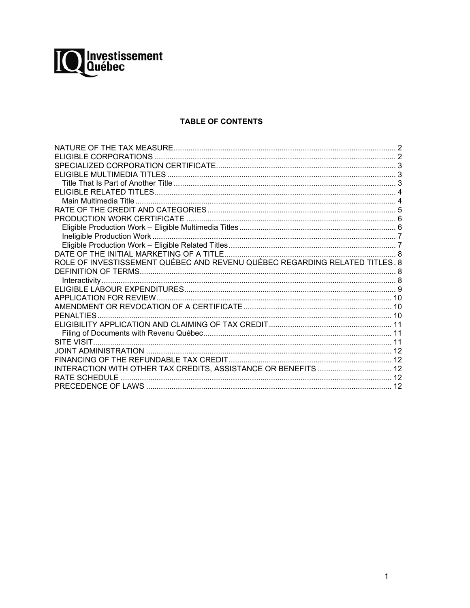

# **TABLE OF CONTENTS**

| ROLE OF INVESTISSEMENT QUÉBEC AND REVENU QUÉBEC REGARDING RELATED TITLES. 8 |  |
|-----------------------------------------------------------------------------|--|
|                                                                             |  |
|                                                                             |  |
|                                                                             |  |
|                                                                             |  |
|                                                                             |  |
|                                                                             |  |
|                                                                             |  |
|                                                                             |  |
|                                                                             |  |
|                                                                             |  |
|                                                                             |  |
| INTERACTION WITH OTHER TAX CREDITS, ASSISTANCE OR BENEFITS  12              |  |
| RATE SCHEDULE                                                               |  |
|                                                                             |  |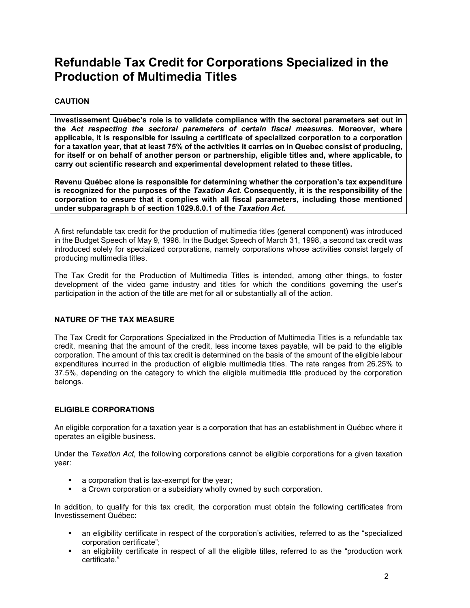# **Refundable Tax Credit for Corporations Specialized in the Production of Multimedia Titles**

# **CAUTION**

**Investissement Québec's role is to validate compliance with the sectoral parameters set out in the** *Act respecting the sectoral parameters of certain fiscal measures***. Moreover, where applicable, it is responsible for issuing a certificate of specialized corporation to a corporation for a taxation year, that at least 75% of the activities it carries on in Quebec consist of producing, for itself or on behalf of another person or partnership, eligible titles and, where applicable, to carry out scientific research and experimental development related to these titles.**

**Revenu Québec alone is responsible for determining whether the corporation's tax expenditure is recognized for the purposes of the** *Taxation Act.* **Consequently, it is the responsibility of the corporation to ensure that it complies with all fiscal parameters, including those mentioned under subparagraph b of section 1029.6.0.1 of the** *Taxation Act.*

A first refundable tax credit for the production of multimedia titles (general component) was introduced in the Budget Speech of May 9, 1996. In the Budget Speech of March 31, 1998, a second tax credit was introduced solely for specialized corporations, namely corporations whose activities consist largely of producing multimedia titles.

The Tax Credit for the Production of Multimedia Titles is intended, among other things, to foster development of the video game industry and titles for which the conditions governing the user's participation in the action of the title are met for all or substantially all of the action.

# <span id="page-2-0"></span>**NATURE OF THE TAX MEASURE**

The Tax Credit for Corporations Specialized in the Production of Multimedia Titles is a refundable tax credit, meaning that the amount of the credit, less income taxes payable, will be paid to the eligible corporation. The amount of this tax credit is determined on the basis of the amount of the eligible labour expenditures incurred in the production of eligible multimedia titles. The rate ranges from 26.25% to 37.5%, depending on the category to which the eligible multimedia title produced by the corporation belongs.

# <span id="page-2-1"></span>**ELIGIBLE CORPORATIONS**

An eligible corporation for a taxation year is a corporation that has an establishment in Québec where it operates an eligible business.

Under the *Taxation Act,* the following corporations cannot be eligible corporations for a given taxation year:

- a corporation that is tax-exempt for the year;
- a Crown corporation or a subsidiary wholly owned by such corporation.

In addition, to qualify for this tax credit, the corporation must obtain the following certificates from Investissement Québec:

- an eligibility certificate in respect of the corporation's activities, referred to as the "specialized corporation certificate";
- an eligibility certificate in respect of all the eligible titles, referred to as the "production work certificate."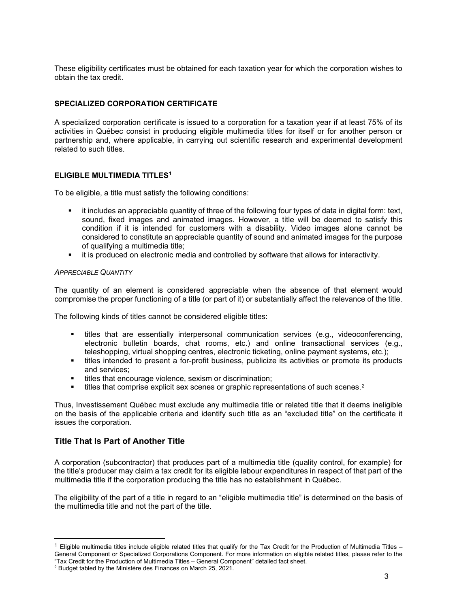These eligibility certificates must be obtained for each taxation year for which the corporation wishes to obtain the tax credit.

#### <span id="page-3-0"></span>**SPECIALIZED CORPORATION CERTIFICATE**

A specialized corporation certificate is issued to a corporation for a taxation year if at least 75% of its activities in Québec consist in producing eligible multimedia titles for itself or for another person or partnership and, where applicable, in carrying out scientific research and experimental development related to such titles.

#### <span id="page-3-1"></span>**ELIGIBLE MULTIMEDIA TITLES[1](#page-3-3)**

To be eligible, a title must satisfy the following conditions:

- it includes an appreciable quantity of three of the following four types of data in digital form: text, sound, fixed images and animated images. However, a title will be deemed to satisfy this condition if it is intended for customers with a disability. Video images alone cannot be considered to constitute an appreciable quantity of sound and animated images for the purpose of qualifying a multimedia title;
- it is produced on electronic media and controlled by software that allows for interactivity.

#### *APPRECIABLE QUANTITY*

The quantity of an element is considered appreciable when the absence of that element would compromise the proper functioning of a title (or part of it) or substantially affect the relevance of the title.

The following kinds of titles cannot be considered eligible titles:

- titles that are essentially interpersonal communication services (e.g., videoconferencing, electronic bulletin boards, chat rooms, etc.) and online transactional services (e.g., teleshopping, virtual shopping centres, electronic ticketing, online payment systems, etc.);
- titles intended to present a for-profit business, publicize its activities or promote its products and services;
- **titles that encourage violence, sexism or discrimination;**
- titles that comprise explicit sex scenes or graphic representations of such scenes.<sup>[2](#page-3-4)</sup>

Thus, Investissement Québec must exclude any multimedia title or related title that it deems ineligible on the basis of the applicable criteria and identify such title as an "excluded title" on the certificate it issues the corporation.

# <span id="page-3-2"></span>**Title That Is Part of Another Title**

A corporation (subcontractor) that produces part of a multimedia title (quality control, for example) for the title's producer may claim a tax credit for its eligible labour expenditures in respect of that part of the multimedia title if the corporation producing the title has no establishment in Québec.

The eligibility of the part of a title in regard to an "eligible multimedia title" is determined on the basis of the multimedia title and not the part of the title.

<span id="page-3-3"></span> $1$  Eligible multimedia titles include eligible related titles that qualify for the Tax Credit for the Production of Multimedia Titles  $-$ General Component or Specialized Corporations Component. For more information on eligible related titles, please refer to the "Tax Credit for the Production of Multimedia Titles – General Component" detailed fact sheet.

<span id="page-3-4"></span><sup>2</sup> Budget tabled by the Ministère des Finances on March 25, 2021.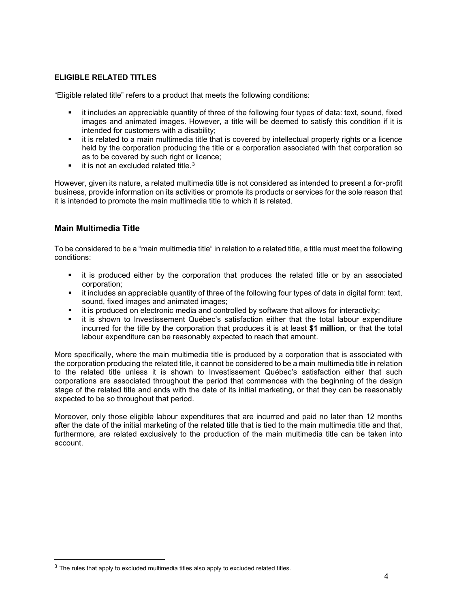# <span id="page-4-0"></span>**ELIGIBLE RELATED TITLES**

"Eligible related title" refers to a product that meets the following conditions:

- it includes an appreciable quantity of three of the following four types of data: text, sound, fixed images and animated images. However, a title will be deemed to satisfy this condition if it is intended for customers with a disability;
- it is related to a main multimedia title that is covered by intellectual property rights or a licence held by the corporation producing the title or a corporation associated with that corporation so as to be covered by such right or licence:
- $\blacksquare$  it is not an excluded related title.<sup>[3](#page-4-2)</sup>

However, given its nature, a related multimedia title is not considered as intended to present a for-profit business, provide information on its activities or promote its products or services for the sole reason that it is intended to promote the main multimedia title to which it is related.

# <span id="page-4-1"></span>**Main Multimedia Title**

To be considered to be a "main multimedia title" in relation to a related title, a title must meet the following conditions:

- it is produced either by the corporation that produces the related title or by an associated corporation;
- it includes an appreciable quantity of three of the following four types of data in digital form: text, sound, fixed images and animated images;
- it is produced on electronic media and controlled by software that allows for interactivity;
- it is shown to Investissement Québec's satisfaction either that the total labour expenditure incurred for the title by the corporation that produces it is at least **\$1 million**, or that the total labour expenditure can be reasonably expected to reach that amount.

More specifically, where the main multimedia title is produced by a corporation that is associated with the corporation producing the related title, it cannot be considered to be a main multimedia title in relation to the related title unless it is shown to Investissement Québec's satisfaction either that such corporations are associated throughout the period that commences with the beginning of the design stage of the related title and ends with the date of its initial marketing, or that they can be reasonably expected to be so throughout that period.

Moreover, only those eligible labour expenditures that are incurred and paid no later than 12 months after the date of the initial marketing of the related title that is tied to the main multimedia title and that, furthermore, are related exclusively to the production of the main multimedia title can be taken into account.

<span id="page-4-2"></span> $3$  The rules that apply to excluded multimedia titles also apply to excluded related titles.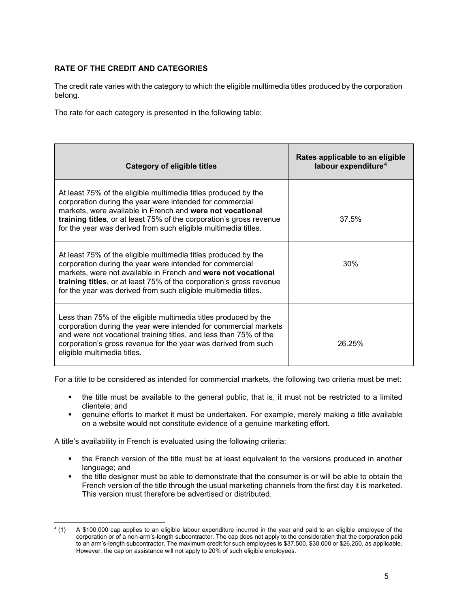# <span id="page-5-0"></span>**RATE OF THE CREDIT AND CATEGORIES**

The credit rate varies with the category to which the eligible multimedia titles produced by the corporation belong.

The rate for each category is presented in the following table:

| Category of eligible titles                                                                                                                                                                                                                                                                                                          | Rates applicable to an eligible<br>labour expenditure <sup>4</sup> |
|--------------------------------------------------------------------------------------------------------------------------------------------------------------------------------------------------------------------------------------------------------------------------------------------------------------------------------------|--------------------------------------------------------------------|
| At least 75% of the eligible multimedia titles produced by the<br>corporation during the year were intended for commercial<br>markets, were available in French and were not vocational<br>training titles, or at least 75% of the corporation's gross revenue<br>for the year was derived from such eligible multimedia titles.     | 37.5%                                                              |
| At least 75% of the eligible multimedia titles produced by the<br>corporation during the year were intended for commercial<br>markets, were not available in French and were not vocational<br>training titles, or at least 75% of the corporation's gross revenue<br>for the year was derived from such eligible multimedia titles. | 30%                                                                |
| Less than 75% of the eligible multimedia titles produced by the<br>corporation during the year were intended for commercial markets<br>and were not vocational training titles, and less than 75% of the<br>corporation's gross revenue for the year was derived from such<br>eligible multimedia titles.                            | 26.25%                                                             |

For a title to be considered as intended for commercial markets, the following two criteria must be met:

- the title must be available to the general public, that is, it must not be restricted to a limited clientele; and
- genuine efforts to market it must be undertaken. For example, merely making a title available on a website would not constitute evidence of a genuine marketing effort.

A title's availability in French is evaluated using the following criteria:

- the French version of the title must be at least equivalent to the versions produced in another language; and
- the title designer must be able to demonstrate that the consumer is or will be able to obtain the French version of the title through the usual marketing channels from the first day it is marketed. This version must therefore be advertised or distributed.

<span id="page-5-1"></span><sup>4</sup> (1) A \$100,000 cap applies to an eligible labour expenditure incurred in the year and paid to an eligible employee of the corporation or of a non-arm's-length subcontractor. The cap does not apply to the consideration that the corporation paid to an arm's-length subcontractor. The maximum credit for such employees is \$37,500, \$30,000 or \$26,250, as applicable. However, the cap on assistance will not apply to 20% of such eligible employees.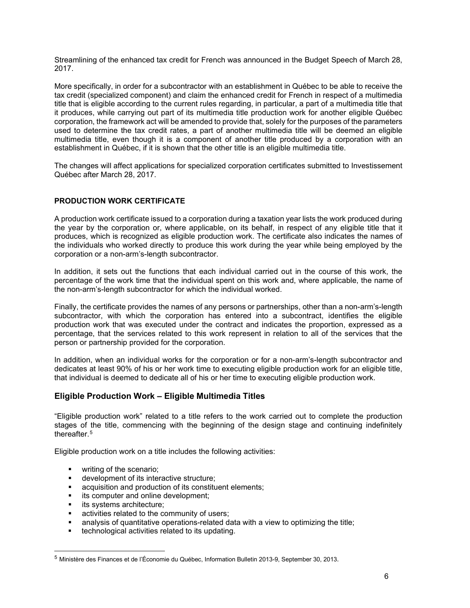Streamlining of the enhanced tax credit for French was announced in the Budget Speech of March 28, 2017.

More specifically, in order for a subcontractor with an establishment in Québec to be able to receive the tax credit (specialized component) and claim the enhanced credit for French in respect of a multimedia title that is eligible according to the current rules regarding, in particular, a part of a multimedia title that it produces, while carrying out part of its multimedia title production work for another eligible Québec corporation, the framework act will be amended to provide that, solely for the purposes of the parameters used to determine the tax credit rates, a part of another multimedia title will be deemed an eligible multimedia title, even though it is a component of another title produced by a corporation with an establishment in Québec, if it is shown that the other title is an eligible multimedia title.

The changes will affect applications for specialized corporation certificates submitted to Investissement Québec after March 28, 2017.

#### <span id="page-6-0"></span>**PRODUCTION WORK CERTIFICATE**

A production work certificate issued to a corporation during a taxation year lists the work produced during the year by the corporation or, where applicable, on its behalf, in respect of any eligible title that it produces, which is recognized as eligible production work. The certificate also indicates the names of the individuals who worked directly to produce this work during the year while being employed by the corporation or a non-arm's-length subcontractor.

In addition, it sets out the functions that each individual carried out in the course of this work, the percentage of the work time that the individual spent on this work and, where applicable, the name of the non-arm's-length subcontractor for which the individual worked.

Finally, the certificate provides the names of any persons or partnerships, other than a non-arm's-length subcontractor, with which the corporation has entered into a subcontract, identifies the eligible production work that was executed under the contract and indicates the proportion, expressed as a percentage, that the services related to this work represent in relation to all of the services that the person or partnership provided for the corporation.

In addition, when an individual works for the corporation or for a non-arm's-length subcontractor and dedicates at least 90% of his or her work time to executing eligible production work for an eligible title, that individual is deemed to dedicate all of his or her time to executing eligible production work.

# <span id="page-6-1"></span>**Eligible Production Work – Eligible Multimedia Titles**

"Eligible production work" related to a title refers to the work carried out to complete the production stages of the title, commencing with the beginning of the design stage and continuing indefinitely thereafter.[5](#page-6-2)

Eligible production work on a title includes the following activities:

- **•** writing of the scenario:
- development of its interactive structure;
- acquisition and production of its constituent elements;
- **i** its computer and online development;
- its systems architecture;<br>■ activities related to the co
- activities related to the community of users;
- analysis of quantitative operations-related data with a view to optimizing the title;
- technological activities related to its updating.

<span id="page-6-2"></span><sup>5</sup> Ministère des Finances et de l'Économie du Québec, Information Bulletin 2013-9, September 30, 2013.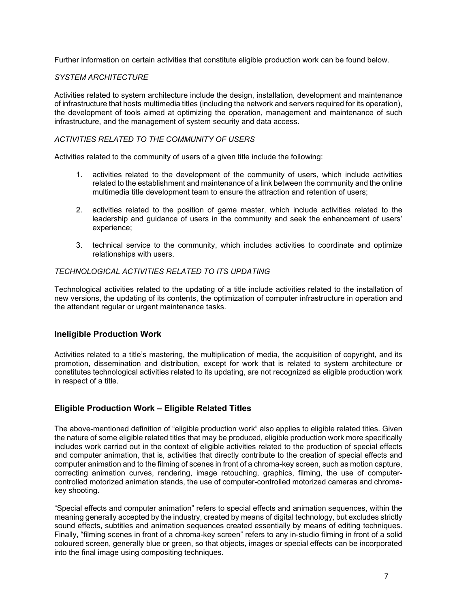Further information on certain activities that constitute eligible production work can be found below.

#### *SYSTEM ARCHITECTURE*

Activities related to system architecture include the design, installation, development and maintenance of infrastructure that hosts multimedia titles (including the network and servers required for its operation), the development of tools aimed at optimizing the operation, management and maintenance of such infrastructure, and the management of system security and data access.

#### *ACTIVITIES RELATED TO THE COMMUNITY OF USERS*

Activities related to the community of users of a given title include the following:

- 1. activities related to the development of the community of users, which include activities related to the establishment and maintenance of a link between the community and the online multimedia title development team to ensure the attraction and retention of users;
- 2. activities related to the position of game master, which include activities related to the leadership and guidance of users in the community and seek the enhancement of users' experience;
- 3. technical service to the community, which includes activities to coordinate and optimize relationships with users.

#### *TECHNOLOGICAL ACTIVITIES RELATED TO ITS UPDATING*

Technological activities related to the updating of a title include activities related to the installation of new versions, the updating of its contents, the optimization of computer infrastructure in operation and the attendant regular or urgent maintenance tasks.

# <span id="page-7-0"></span>**Ineligible Production Work**

Activities related to a title's mastering, the multiplication of media, the acquisition of copyright, and its promotion, dissemination and distribution, except for work that is related to system architecture or constitutes technological activities related to its updating, are not recognized as eligible production work in respect of a title.

# <span id="page-7-1"></span>**Eligible Production Work – Eligible Related Titles**

The above-mentioned definition of "eligible production work" also applies to eligible related titles. Given the nature of some eligible related titles that may be produced, eligible production work more specifically includes work carried out in the context of eligible activities related to the production of special effects and computer animation, that is, activities that directly contribute to the creation of special effects and computer animation and to the filming of scenes in front of a chroma-key screen, such as motion capture, correcting animation curves, rendering, image retouching, graphics, filming, the use of computercontrolled motorized animation stands, the use of computer-controlled motorized cameras and chromakey shooting.

"Special effects and computer animation" refers to special effects and animation sequences, within the meaning generally accepted by the industry, created by means of digital technology, but excludes strictly sound effects, subtitles and animation sequences created essentially by means of editing techniques. Finally, "filming scenes in front of a chroma-key screen" refers to any in-studio filming in front of a solid coloured screen, generally blue or green, so that objects, images or special effects can be incorporated into the final image using compositing techniques.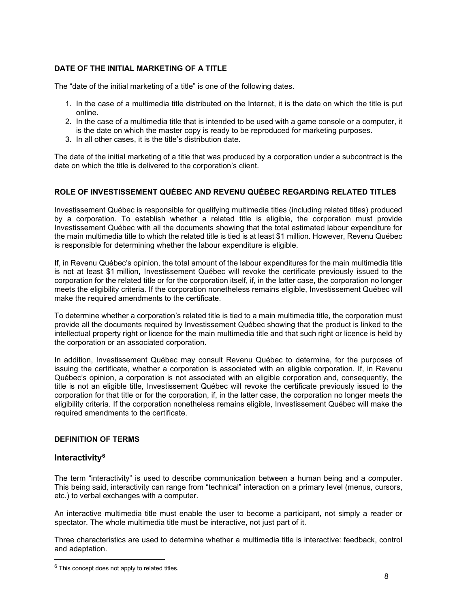# <span id="page-8-0"></span>**DATE OF THE INITIAL MARKETING OF A TITLE**

The "date of the initial marketing of a title" is one of the following dates.

- 1. In the case of a multimedia title distributed on the Internet, it is the date on which the title is put online.
- 2. In the case of a multimedia title that is intended to be used with a game console or a computer, it is the date on which the master copy is ready to be reproduced for marketing purposes.
- 3. In all other cases, it is the title's distribution date.

The date of the initial marketing of a title that was produced by a corporation under a subcontract is the date on which the title is delivered to the corporation's client.

# <span id="page-8-1"></span>**ROLE OF INVESTISSEMENT QUÉBEC AND REVENU QUÉBEC REGARDING RELATED TITLES**

Investissement Québec is responsible for qualifying multimedia titles (including related titles) produced by a corporation. To establish whether a related title is eligible, the corporation must provide Investissement Québec with all the documents showing that the total estimated labour expenditure for the main multimedia title to which the related title is tied is at least \$1 million. However, Revenu Québec is responsible for determining whether the labour expenditure is eligible.

If, in Revenu Québec's opinion, the total amount of the labour expenditures for the main multimedia title is not at least \$1 million, Investissement Québec will revoke the certificate previously issued to the corporation for the related title or for the corporation itself, if, in the latter case, the corporation no longer meets the eligibility criteria. If the corporation nonetheless remains eligible, Investissement Québec will make the required amendments to the certificate.

To determine whether a corporation's related title is tied to a main multimedia title, the corporation must provide all the documents required by Investissement Québec showing that the product is linked to the intellectual property right or licence for the main multimedia title and that such right or licence is held by the corporation or an associated corporation.

In addition, Investissement Québec may consult Revenu Québec to determine, for the purposes of issuing the certificate, whether a corporation is associated with an eligible corporation. If, in Revenu Québec's opinion, a corporation is not associated with an eligible corporation and, consequently, the title is not an eligible title, Investissement Québec will revoke the certificate previously issued to the corporation for that title or for the corporation, if, in the latter case, the corporation no longer meets the eligibility criteria. If the corporation nonetheless remains eligible, Investissement Québec will make the required amendments to the certificate.

# <span id="page-8-3"></span><span id="page-8-2"></span>**DEFINITION OF TERMS**

# **Interactivity[6](#page-8-4)**

The term "interactivity" is used to describe communication between a human being and a computer. This being said, interactivity can range from "technical" interaction on a primary level (menus, cursors, etc.) to verbal exchanges with a computer.

An interactive multimedia title must enable the user to become a participant, not simply a reader or spectator. The whole multimedia title must be interactive, not just part of it.

Three characteristics are used to determine whether a multimedia title is interactive: feedback, control and adaptation.

<span id="page-8-4"></span> $6$  This concept does not apply to related titles.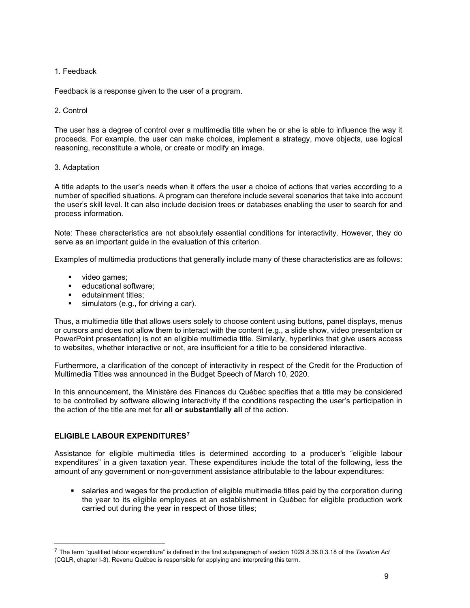# 1. Feedback

Feedback is a response given to the user of a program.

#### 2. Control

The user has a degree of control over a multimedia title when he or she is able to influence the way it proceeds. For example, the user can make choices, implement a strategy, move objects, use logical reasoning, reconstitute a whole, or create or modify an image.

#### 3. Adaptation

A title adapts to the user's needs when it offers the user a choice of actions that varies according to a number of specified situations. A program can therefore include several scenarios that take into account the user's skill level. It can also include decision trees or databases enabling the user to search for and process information.

Note: These characteristics are not absolutely essential conditions for interactivity. However, they do serve as an important guide in the evaluation of this criterion.

Examples of multimedia productions that generally include many of these characteristics are as follows:

- video games;
- **EXEC** educational software:
- **edutainment titles:**
- simulators (e.g., for driving a car).

Thus, a multimedia title that allows users solely to choose content using buttons, panel displays, menus or cursors and does not allow them to interact with the content (e.g., a slide show, video presentation or PowerPoint presentation) is not an eligible multimedia title. Similarly, hyperlinks that give users access to websites, whether interactive or not, are insufficient for a title to be considered interactive.

Furthermore, a clarification of the concept of interactivity in respect of the Credit for the Production of Multimedia Titles was announced in the Budget Speech of March 10, 2020.

In this announcement, the Ministère des Finances du Québec specifies that a title may be considered to be controlled by software allowing interactivity if the conditions respecting the user's participation in the action of the title are met for **all or substantially all** of the action.

#### <span id="page-9-0"></span>**ELIGIBLE LABOUR EXPENDITURES[7](#page-9-1)**

Assistance for eligible multimedia titles is determined according to a producer's "eligible labour expenditures" in a given taxation year. These expenditures include the total of the following, less the amount of any government or non-government assistance attributable to the labour expenditures:

 salaries and wages for the production of eligible multimedia titles paid by the corporation during the year to its eligible employees at an establishment in Québec for eligible production work carried out during the year in respect of those titles;

<span id="page-9-1"></span><sup>7</sup> The term "qualified labour expenditure" is defined in the first subparagraph of section 1029.8.36.0.3.18 of the *Taxation Act* (CQLR, chapter I-3). Revenu Québec is responsible for applying and interpreting this term.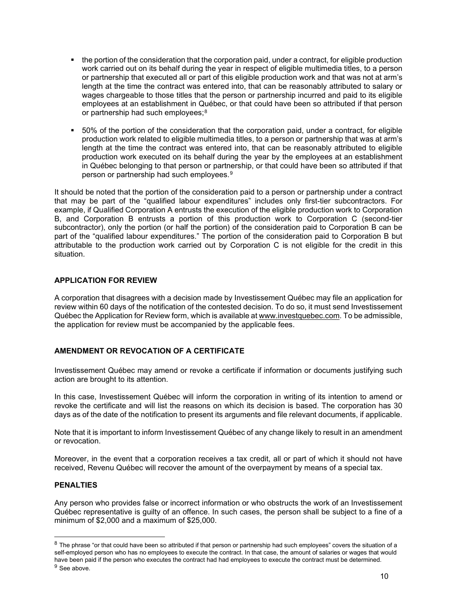- the portion of the consideration that the corporation paid, under a contract, for eligible production work carried out on its behalf during the year in respect of eligible multimedia titles, to a person or partnership that executed all or part of this eligible production work and that was not at arm's length at the time the contract was entered into, that can be reasonably attributed to salary or wages chargeable to those titles that the person or partnership incurred and paid to its eligible employees at an establishment in Québec, or that could have been so attributed if that person or partnership had such employees;<sup>[8](#page-10-3)</sup>
- 50% of the portion of the consideration that the corporation paid, under a contract, for eligible production work related to eligible multimedia titles, to a person or partnership that was at arm's length at the time the contract was entered into, that can be reasonably attributed to eligible production work executed on its behalf during the year by the employees at an establishment in Québec belonging to that person or partnership, or that could have been so attributed if that person or partnership had such employees.[9](#page-10-4)

It should be noted that the portion of the consideration paid to a person or partnership under a contract that may be part of the "qualified labour expenditures" includes only first-tier subcontractors. For example, if Qualified Corporation A entrusts the execution of the eligible production work to Corporation B, and Corporation B entrusts a portion of this production work to Corporation C (second-tier subcontractor), only the portion (or half the portion) of the consideration paid to Corporation B can be part of the "qualified labour expenditures." The portion of the consideration paid to Corporation B but attributable to the production work carried out by Corporation C is not eligible for the credit in this situation.

#### <span id="page-10-0"></span>**APPLICATION FOR REVIEW**

A corporation that disagrees with a decision made by Investissement Québec may file an application for review within 60 days of the notification of the contested decision. To do so, it must send Investissement Québec the Application for Review form, which is available at www.investquebec.com. To be admissible, the application for review must be accompanied by the applicable fees.

# <span id="page-10-1"></span>**AMENDMENT OR REVOCATION OF A CERTIFICATE**

Investissement Québec may amend or revoke a certificate if information or documents justifying such action are brought to its attention.

In this case, Investissement Québec will inform the corporation in writing of its intention to amend or revoke the certificate and will list the reasons on which its decision is based. The corporation has 30 days as of the date of the notification to present its arguments and file relevant documents, if applicable.

Note that it is important to inform Investissement Québec of any change likely to result in an amendment or revocation.

Moreover, in the event that a corporation receives a tax credit, all or part of which it should not have received, Revenu Québec will recover the amount of the overpayment by means of a special tax.

# <span id="page-10-2"></span>**PENALTIES**

Any person who provides false or incorrect information or who obstructs the work of an Investissement Québec representative is guilty of an offence. In such cases, the person shall be subject to a fine of a minimum of \$2,000 and a maximum of \$25,000.

<span id="page-10-4"></span><span id="page-10-3"></span><sup>&</sup>lt;sup>8</sup> The phrase "or that could have been so attributed if that person or partnership had such employees" covers the situation of a self-employed person who has no employees to execute the contract. In that case, the amount of salaries or wages that would have been paid if the person who executes the contract had had employees to execute the contract must be determined.  $9$  See above.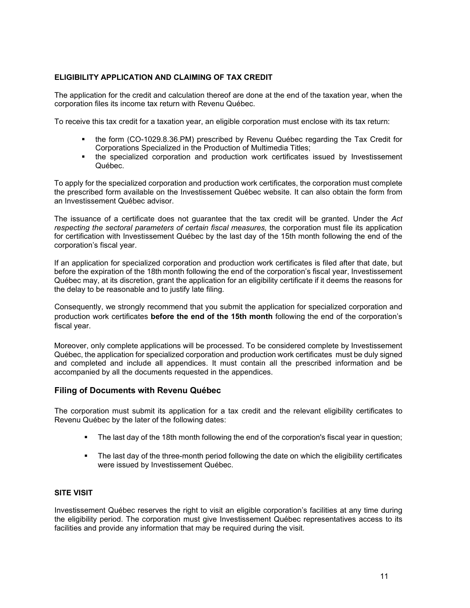# <span id="page-11-0"></span>**ELIGIBILITY APPLICATION AND CLAIMING OF TAX CREDIT**

The application for the credit and calculation thereof are done at the end of the taxation year, when the corporation files its income tax return with Revenu Québec.

To receive this tax credit for a taxation year, an eligible corporation must enclose with its tax return:

- the form (CO-1029.8.36.PM) prescribed by Revenu Québec regarding the Tax Credit for Corporations Specialized in the Production of Multimedia Titles;
- the specialized corporation and production work certificates issued by Investissement Québec.

To apply for the specialized corporation and production work certificates, the corporation must complete the prescribed form available on the Investissement Québec website. It can also obtain the form from an Investissement Québec advisor.

The issuance of a certificate does not guarantee that the tax credit will be granted. Under the *Act respecting the sectoral parameters of certain fiscal measures,* the corporation must file its application for certification with Investissement Québec by the last day of the 15th month following the end of the corporation's fiscal year.

If an application for specialized corporation and production work certificates is filed after that date, but before the expiration of the 18th month following the end of the corporation's fiscal year, Investissement Québec may, at its discretion, grant the application for an eligibility certificate if it deems the reasons for the delay to be reasonable and to justify late filing.

Consequently, we strongly recommend that you submit the application for specialized corporation and production work certificates **before the end of the 15th month** following the end of the corporation's fiscal year.

Moreover, only complete applications will be processed. To be considered complete by Investissement Québec, the application for specialized corporation and production work certificates must be duly signed and completed and include all appendices. It must contain all the prescribed information and be accompanied by all the documents requested in the appendices.

# <span id="page-11-1"></span>**Filing of Documents with Revenu Québec**

The corporation must submit its application for a tax credit and the relevant eligibility certificates to Revenu Québec by the later of the following dates:

- The last day of the 18th month following the end of the corporation's fiscal year in question;
- The last day of the three-month period following the date on which the eligibility certificates were issued by Investissement Québec.

# <span id="page-11-2"></span>**SITE VISIT**

Investissement Québec reserves the right to visit an eligible corporation's facilities at any time during the eligibility period. The corporation must give Investissement Québec representatives access to its facilities and provide any information that may be required during the visit.